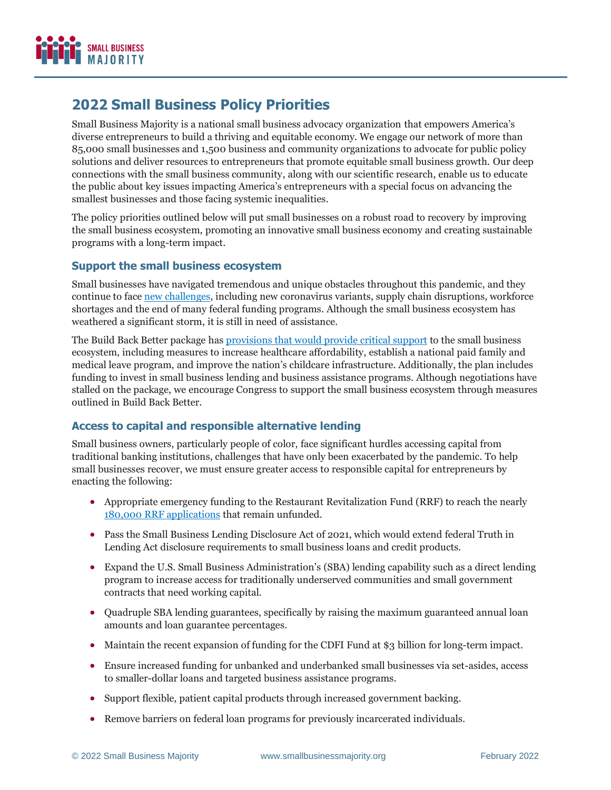

# **2022 Small Business Policy Priorities**

Small Business Majority is a national small business advocacy organization that empowers America's diverse entrepreneurs to build a thriving and equitable economy. We engage our network of more than 85,000 small businesses and 1,500 business and community organizations to advocate for public policy solutions and deliver resources to entrepreneurs that promote equitable small business growth. Our deep connections with the small business community, along with our scientific research, enable us to educate the public about key issues impacting America's entrepreneurs with a special focus on advancing the smallest businesses and those facing systemic inequalities.

The policy priorities outlined below will put small businesses on a robust road to recovery by improving the small business ecosystem, promoting an innovative small business economy and creating sustainable programs with a long-term impact.

## **Support the small business ecosystem**

Small businesses have navigated tremendous and unique obstacles throughout this pandemic, and they continue to face [new challenges,](https://smallbusinessmajority.org/small-businesses-support-covid-19-vaccine-requirements-amid-setbacks-delta-variant) including new coronavirus variants, supply chain disruptions, workforce shortages and the end of many federal funding programs. Although the small business ecosystem has weathered a significant storm, it is still in need of assistance.

The Build Back Better package has [provisions that would provide](https://smallbusinessmajority.org/policy/small-business-majority-supports-human-infrastructure-plan) critical support to the small business ecosystem, including measures to increase healthcare affordability, establish a national paid family and medical leave program, and improve the nation's childcare infrastructure. Additionally, the plan includes funding to invest in small business lending and business assistance programs. Although negotiations have stalled on the package, we encourage Congress to support the small business ecosystem through measures outlined in Build Back Better.

## **Access to capital and responsible alternative lending**

Small business owners, particularly people of color, face significant hurdles accessing capital from traditional banking institutions, challenges that have only been exacerbated by the pandemic. To help small businesses recover, we must ensure greater access to responsible capital for entrepreneurs by enacting the following:

- Appropriate emergency funding to the Restaurant Revitalization Fund (RRF) to reach the nearly [180,000 RRF applications](https://www.sbc.senate.gov/public/index.cfm/pressreleases?ID=E7B288D6-6AAE-42C0-9239-653045FCD8FE) that remain unfunded.
- Pass the Small Business Lending Disclosure Act of 2021, which would extend federal Truth in Lending Act disclosure requirements to small business loans and credit products.
- Expand the U.S. Small Business Administration's (SBA) lending capability such as a direct lending program to increase access for traditionally underserved communities and small government contracts that need working capital.
- Quadruple SBA lending guarantees, specifically by raising the maximum guaranteed annual loan amounts and loan guarantee percentages.
- Maintain the recent expansion of funding for the CDFI Fund at \$3 billion for long-term impact.
- Ensure increased funding for unbanked and underbanked small businesses via set-asides, access to smaller-dollar loans and targeted business assistance programs.
- Support flexible, patient capital products through increased government backing.
- Remove barriers on federal loan programs for previously incarcerated individuals.